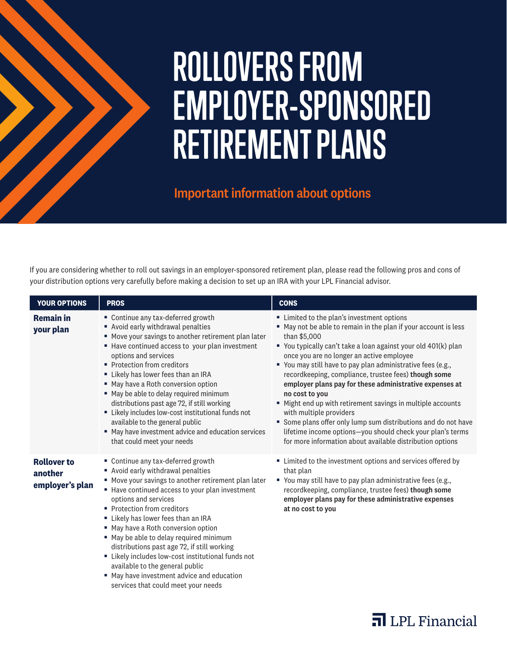# **ROLLOVERS FROM EMPLOYER-SPONSORED RETIREMENT PLANS**

# Important information about options

If you are considering whether to roll out savings in an employer-sponsored retirement plan, please read the following pros and cons of your distribution options very carefully before making a decision to set up an IRA with your LPL Financial advisor.

| <b>YOUR OPTIONS</b>                              | <b>PROS</b>                                                                                                                                                                                                                                                                                                                                                                                                                                                                                                                                                                                  | <b>CONS</b>                                                                                                                                                                                                                                                                                                                                                                                                                                                                                                                                                                                                                                                                                                                         |
|--------------------------------------------------|----------------------------------------------------------------------------------------------------------------------------------------------------------------------------------------------------------------------------------------------------------------------------------------------------------------------------------------------------------------------------------------------------------------------------------------------------------------------------------------------------------------------------------------------------------------------------------------------|-------------------------------------------------------------------------------------------------------------------------------------------------------------------------------------------------------------------------------------------------------------------------------------------------------------------------------------------------------------------------------------------------------------------------------------------------------------------------------------------------------------------------------------------------------------------------------------------------------------------------------------------------------------------------------------------------------------------------------------|
| <b>Remain in</b><br>your plan                    | • Continue any tax-deferred growth<br>Avoid early withdrawal penalties<br>■ Move your savings to another retirement plan later<br>■ Have continued access to your plan investment<br>options and services<br>• Protection from creditors<br>Likely has lower fees than an IRA<br>■ May have a Roth conversion option<br>" May be able to delay required minimum<br>distributions past age 72, if still working<br>" Likely includes low-cost institutional funds not<br>available to the general public<br>■ May have investment advice and education services<br>that could meet your needs | " Limited to the plan's investment options<br>■ May not be able to remain in the plan if your account is less<br>than \$5,000<br>You typically can't take a loan against your old 401(k) plan<br>once you are no longer an active employee<br>" You may still have to pay plan administrative fees (e.g.,<br>recordkeeping, compliance, trustee fees) though some<br>employer plans pay for these administrative expenses at<br>no cost to you<br>" Might end up with retirement savings in multiple accounts<br>with multiple providers<br>Some plans offer only lump sum distributions and do not have<br>lifetime income options-you should check your plan's terms<br>for more information about available distribution options |
| <b>Rollover to</b><br>another<br>employer's plan | • Continue any tax-deferred growth<br>Avoid early withdrawal penalties<br>■ Move your savings to another retirement plan later<br>■ Have continued access to your plan investment<br>options and services<br>• Protection from creditors<br>Likely has lower fees than an IRA<br>■ May have a Roth conversion option<br>" May be able to delay required minimum<br>distributions past age 72, if still working<br>" Likely includes low-cost institutional funds not<br>available to the general public<br>" May have investment advice and education<br>services that could meet your needs | • Limited to the investment options and services offered by<br>that plan<br>" You may still have to pay plan administrative fees (e.g.,<br>recordkeeping, compliance, trustee fees) though some<br>employer plans pay for these administrative expenses<br>at no cost to you                                                                                                                                                                                                                                                                                                                                                                                                                                                        |

**n** LPL Financial